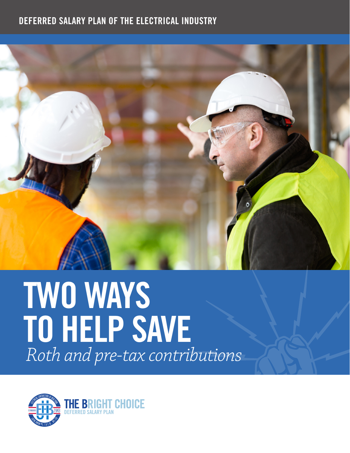## DEFERRED SALARY PLAN OF THE ELECTRICAL INDUSTRY



## TWO WAYS TO HELP SAVE *Roth and pre-tax contributions*

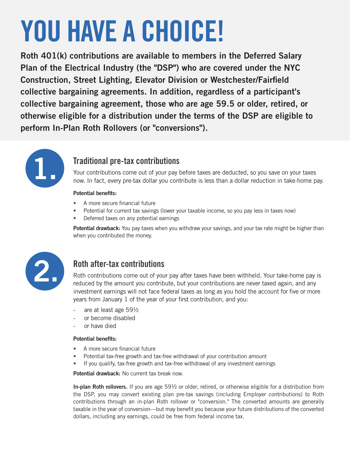# YOU HAVE A CHOICE!

Roth 401(k) contributions are available to members in the Deferred Salary Plan of the Electrical Industry (the "DSP") who are covered under the NYC Construction, Street Lighting, Elevator Division or Westchester/Fairfield collective bargaining agreements. In addition, regardless of a participant's collective bargaining agreement, those who are age 59.5 or older, retired, or otherwise eligible for a distribution under the terms of the DSP are eligible to perform In-Plan Roth Rollovers (or "conversions").



## Traditional pre-tax contributions

Your contributions come out of your pay before taxes are deducted, so you save on your taxes now. In fact, every pre-tax dollar you contribute is less than a dollar reduction in take-home pay.

#### Potential benefits:

- A more secure financial future
- Potential for current tax savings (lower your taxable income, so you pay less in taxes now)
- Deferred taxes on any potential earnings

Potential drawback: You pay taxes when you withdraw your savings, and your tax rate might be higher than when you contributed the money.



## Roth after-tax contributions

Roth contributions come out of your pay after taxes have been withheld. Your take-home pay is reduced by the amount you contribute, but your contributions are never taxed again, and any investment earnings will not face federal taxes as long as you hold the account for five or more years from January 1 of the year of your first contribution, and you:

- ‐ are at least age 59½
- ‐ or become disabled
- ‐ or have died

#### Potential benefits:

- A more secure financial future
- Potential tax-free growth and tax-free withdrawal of your contribution amount
- If you qualify, tax-free growth and tax-free withdrawal of any investment earnings

Potential drawback: No current tax break now.

In-plan Roth rollovers. If you are age  $59\frac{1}{2}$  or older, retired, or otherwise eligible for a distribution from the DSP, you may convert existing plan pre-tax savings (including Employer contributions) to Roth contributions through an in-plan Roth rollover or "conversion." The converted amounts are generally taxable in the year of conversion—but may benefit you because your future distributions of the converted dollars, including any earnings, could be free from federal income tax.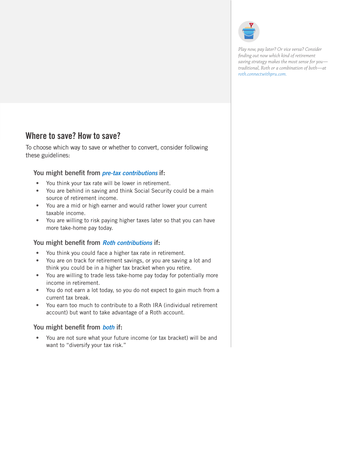

*Play now, pay later? Or vice versa? Consider finding out now which kind of retirement saving strategy makes the most sense for you traditional, Roth or a combination of both—at [roth.connectwithpru.com.](http://roth.connectwithpru.com)*

## Where to save? How to save?

To choose which way to save or whether to convert, consider following these guidelines:

#### You might benefit from *pre-tax contributions* if:

- You think your tax rate will be lower in retirement.
- You are behind in saving and think Social Security could be a main source of retirement income.
- You are a mid or high earner and would rather lower your current taxable income.
- You are willing to risk paying higher taxes later so that you can have more take-home pay today.

#### You might benefit from *Roth contributions* if:

- You think you could face a higher tax rate in retirement.
- You are on track for retirement savings, or you are saving a lot and think you could be in a higher tax bracket when you retire.
- You are willing to trade less take-home pay today for potentially more income in retirement.
- You do not earn a lot today, so you do not expect to gain much from a current tax break.
- You earn too much to contribute to a Roth IRA (individual retirement account) but want to take advantage of a Roth account.

#### You might benefit from *both* if:

• You are not sure what your future income (or tax bracket) will be and want to "diversify your tax risk."